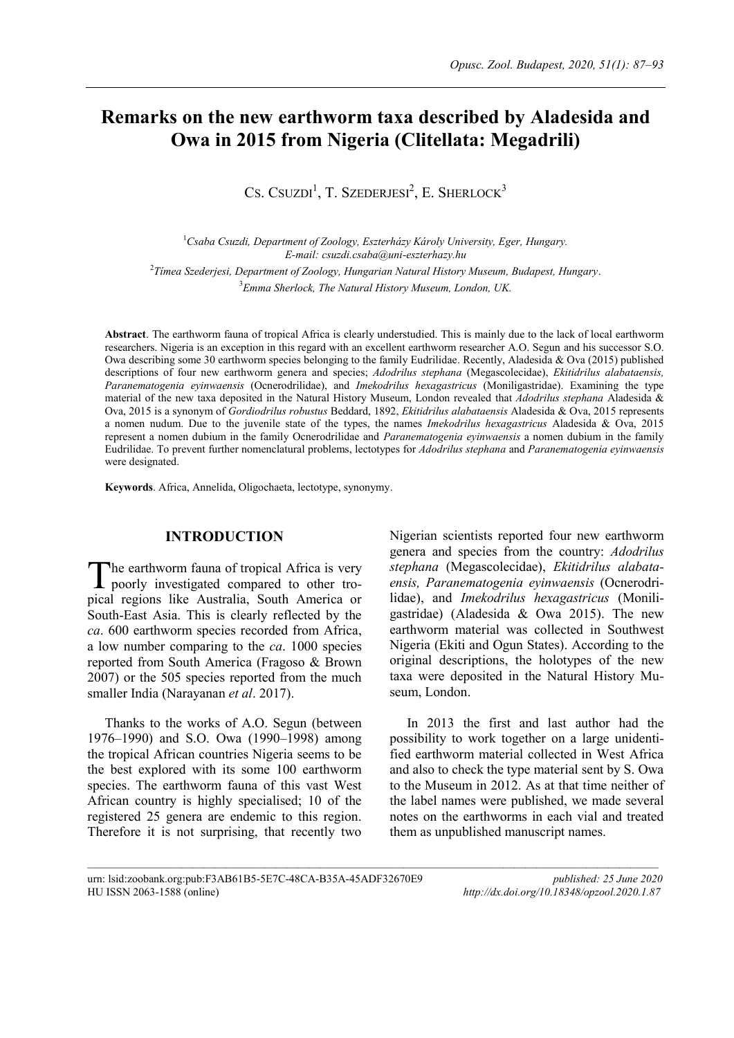# **Remarks on the new earthworm taxa described by Aladesida and Owa in 2015 from Nigeria (Clitellata: Megadrili)**

CS. CSUZDI<sup>1</sup>, T. SZEDERJESI<sup>2</sup>, E. SHERLOCK<sup>3</sup>

*Csaba Csuzdi, Department of Zoology, Eszterházy Károly University, Eger, Hungary. E-mail: csuzdi.csaba@uni-eszterhazy.hu Tímea Szederjesi, Department of Zoology, Hungarian Natural History Museum, Budapest, Hungary*. *Emma Sherlock, The Natural History Museum, London, UK.*

**Abstract**. The earthworm fauna of tropical Africa is clearly understudied. This is mainly due to the lack of local earthworm researchers. Nigeria is an exception in this regard with an excellent earthworm researcher A.O. Segun and his successor S.O. Owa describing some 30 earthworm species belonging to the family Eudrilidae. Recently, Aladesida & Ova (2015) published descriptions of four new earthworm genera and species; *Adodrilus stephana* (Megascolecidae), *Ekitidrilus alabataensis, Paranematogenia eyinwaensis* (Ocnerodrilidae), and *Imekodrilus hexagastricus* (Moniligastridae). Examining the type material of the new taxa deposited in the Natural History Museum, London revealed that *Adodrilus stephana* Aladesida & Ova, 2015 is a synonym of *Gordiodrilus robustus* Beddard, 1892, *Ekitidrilus alabataensis* Aladesida & Ova, 2015 represents a nomen nudum. Due to the juvenile state of the types, the names *Imekodrilus hexagastricus* Aladesida & Ova, 2015 represent a nomen dubium in the family Ocnerodrilidae and *Paranematogenia eyinwaensis* a nomen dubium in the family Eudrilidae. To prevent further nomenclatural problems, lectotypes for *Adodrilus stephana* and *Paranematogenia eyinwaensis* were designated.

 $\mathcal{L}_\text{max}$ 

**Keywords**. Africa, Annelida, Oligochaeta, lectotype, synonymy.

# **INTRODUCTION**

he earthworm fauna of tropical Africa is very The earthworm fauna of tropical Africa is very<br>poorly investigated compared to other tropical regions like Australia, South America or South-East Asia. This is clearly reflected by the *ca*. 600 earthworm species recorded from Africa, a low number comparing to the *ca*. 1000 species reported from South America (Fragoso & Brown 2007) or the 505 species reported from the much smaller India (Narayanan *et al*. 2017).

Thanks to the works of A.O. Segun (between 1976–1990) and S.O. Owa (1990–1998) among the tropical African countries Nigeria seems to be the best explored with its some 100 earthworm species. The earthworm fauna of this vast West African country is highly specialised; 10 of the registered 25 genera are endemic to this region. Therefore it is not surprising, that recently two

Nigerian scientists reported four new earthworm genera and species from the country: *Adodrilus stephana* (Megascolecidae), *Ekitidrilus alabataensis, Paranematogenia eyinwaensis* (Ocnerodrilidae), and *Imekodrilus hexagastricus* (Moniligastridae) (Aladesida & Owa 2015). The new earthworm material was collected in Southwest Nigeria (Ekiti and Ogun States). According to the original descriptions, the holotypes of the new taxa were deposited in the Natural History Museum, London.

In 2013 the first and last author had the possibility to work together on a large unidentified earthworm material collected in West Africa and also to check the type material sent by S. Owa to the Museum in 2012. As at that time neither of the label names were published, we made several notes on the earthworms in each vial and treated them as unpublished manuscript names.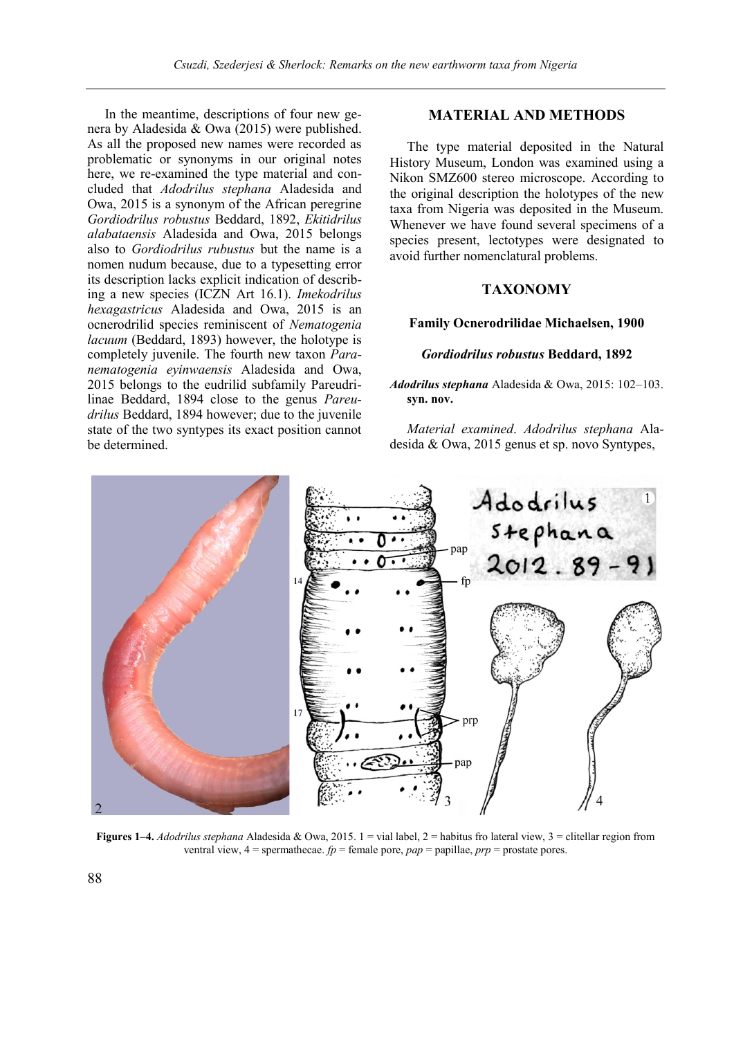In the meantime, descriptions of four new genera by Aladesida & Owa (2015) were published. As all the proposed new names were recorded as problematic or synonyms in our original notes here, we re-examined the type material and concluded that *Adodrilus stephana* Aladesida and Owa, 2015 is a synonym of the African peregrine *Gordiodrilus robustus* Beddard, 1892, *Ekitidrilus alabataensis* Aladesida and Owa, 2015 belongs also to *Gordiodrilus rubustus* but the name is a nomen nudum because, due to a typesetting error its description lacks explicit indication of describing a new species (ICZN Art 16.1). *Imekodrilus hexagastricus* Aladesida and Owa, 2015 is an ocnerodrilid species reminiscent of *Nematogenia lacuum* (Beddard, 1893) however, the holotype is completely juvenile. The fourth new taxon *Paranematogenia eyinwaensis* Aladesida and Owa, 2015 belongs to the eudrilid subfamily Pareudrilinae Beddard, 1894 close to the genus *Pareudrilus* Beddard, 1894 however; due to the juvenile state of the two syntypes its exact position cannot be determined.

# **MATERIAL AND METHODS**

The type material deposited in the Natural History Museum, London was examined using a Nikon SMZ600 stereo microscope. According to the original description the holotypes of the new taxa from Nigeria was deposited in the Museum. Whenever we have found several specimens of a species present, lectotypes were designated to avoid further nomenclatural problems.

# **TAXONOMY**

#### **Family Ocnerodrilidae Michaelsen, 1900**

#### *Gordiodrilus robustus* **Beddard, 1892**

*Adodrilus stephana* Aladesida & Owa, 2015: 102–103. **syn. nov.**

*Material examined*. *Adodrilus stephana* Aladesida & Owa, 2015 genus et sp. novo Syntypes,



**Figures 1–4.** *Adodrilus stephana* Aladesida & Owa, 2015. 1 = vial label, 2 = habitus fro lateral view, 3 = clitellar region from ventral view,  $4 =$  spermathecae.  $fp =$  female pore,  $pap =$  papillae,  $prp =$  prostate pores.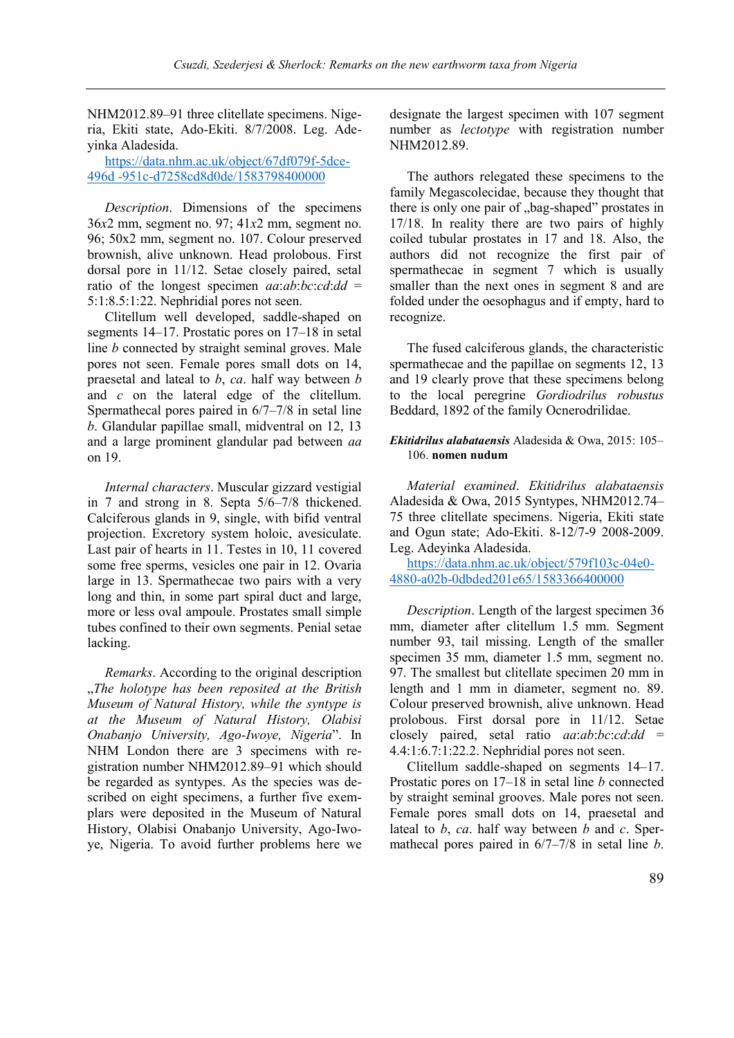NHM2012.89–91 three clitellate specimens. Nigeria, Ekiti state, Ado-Ekiti. 8/7/2008. Leg. Adeyinka Aladesida.

[https://data.nhm.ac.uk/object/67df079f-5dce-](https://data.nhm.ac.uk/object/67df079f-5dce-496d-951c-d7258cd8d0de/1583798400000)496d [-951c-d7258cd8d0de/1583798400000](https://data.nhm.ac.uk/object/67df079f-5dce-496d-951c-d7258cd8d0de/1583798400000)

*Description*. Dimensions of the specimens 36*x*2 mm, segment no. 97; 41*x*2 mm, segment no. 96; 50x2 mm, segment no. 107. Colour preserved brownish, alive unknown. Head prolobous. First dorsal pore in 11/12. Setae closely paired, setal ratio of the longest specimen *aa*:*ab*:*bc*:*cd*:*dd* = 5:1:8.5:1:22. Nephridial pores not seen.

Clitellum well developed, saddle-shaped on segments 14–17. Prostatic pores on 17–18 in setal line *b* connected by straight seminal groves. Male pores not seen. Female pores small dots on 14, praesetal and lateal to *b*, *ca*. half way between *b* and *c* on the lateral edge of the clitellum. Spermathecal pores paired in 6/7–7/8 in setal line *b*. Glandular papillae small, midventral on 12, 13 and a large prominent glandular pad between *aa* on 19.

*Internal characters*. Muscular gizzard vestigial in 7 and strong in 8. Septa 5/6–7/8 thickened. Calciferous glands in 9, single, with bifid ventral projection. Excretory system holoic, avesiculate. Last pair of hearts in 11. Testes in 10, 11 covered some free sperms, vesicles one pair in 12. Ovaria large in 13. Spermathecae two pairs with a very long and thin, in some part spiral duct and large, more or less oval ampoule. Prostates small simple tubes confined to their own segments. Penial setae lacking.

*Remarks*. According to the original description "*The holotype has been reposited at the British Museum of Natural History, while the syntype is at the Museum of Natural History, Olabisi Onabanjo University, Ago-Iwoye, Nigeria*". In NHM London there are 3 specimens with registration number NHM2012.89–91 which should be regarded as syntypes. As the species was described on eight specimens, a further five exemplars were deposited in the Museum of Natural History, Olabisi Onabanjo University, Ago-Iwoye, Nigeria. To avoid further problems here we

designate the largest specimen with 107 segment number as *lectotype* with registration number NHM2012.89.

The authors relegated these specimens to the family Megascolecidae, because they thought that there is only one pair of "bag-shaped" prostates in 17/18. In reality there are two pairs of highly coiled tubular prostates in 17 and 18. Also, the authors did not recognize the first pair of spermathecae in segment 7 which is usually smaller than the next ones in segment 8 and are folded under the oesophagus and if empty, hard to recognize.

The fused calciferous glands, the characteristic spermathecae and the papillae on segments 12, 13 and 19 clearly prove that these specimens belong to the local peregrine *Gordiodrilus robustus* Beddard, 1892 of the family Ocnerodrilidae.

## *Ekitidrilus alabataensis* Aladesida & Owa, 2015: 105– 106. **nomen nudum**

*Material examined*. *Ekitidrilus alabataensis*  Aladesida & Owa, 2015 Syntypes, NHM2012.74– 75 three clitellate specimens. Nigeria, Ekiti state and Ogun state; Ado-Ekiti. 8-12/7-9 2008-2009. Leg. Adeyinka Aladesida.

[https://data.nhm.ac.uk/object/579f103c-04e0-](https://data.nhm.ac.uk/object/579f103c-04e0-4880-a02b-0dbded201e65/1583366400000) [4880-a02b-0dbded201e65/1583366400000](https://data.nhm.ac.uk/object/579f103c-04e0-4880-a02b-0dbded201e65/1583366400000)

*Description*. Length of the largest specimen 36 mm, diameter after clitellum 1.5 mm. Segment number 93, tail missing. Length of the smaller specimen 35 mm, diameter 1.5 mm, segment no. 97. The smallest but clitellate specimen 20 mm in length and 1 mm in diameter, segment no. 89. Colour preserved brownish, alive unknown. Head prolobous. First dorsal pore in 11/12. Setae closely paired, setal ratio *aa*:*ab*:*bc*:*cd*:*dd* = 4.4:1:6.7:1:22.2. Nephridial pores not seen.

Clitellum saddle-shaped on segments 14–17. Prostatic pores on 17–18 in setal line *b* connected by straight seminal grooves. Male pores not seen. Female pores small dots on 14, praesetal and lateal to *b*, *ca*. half way between *b* and *c*. Spermathecal pores paired in 6/7–7/8 in setal line *b*.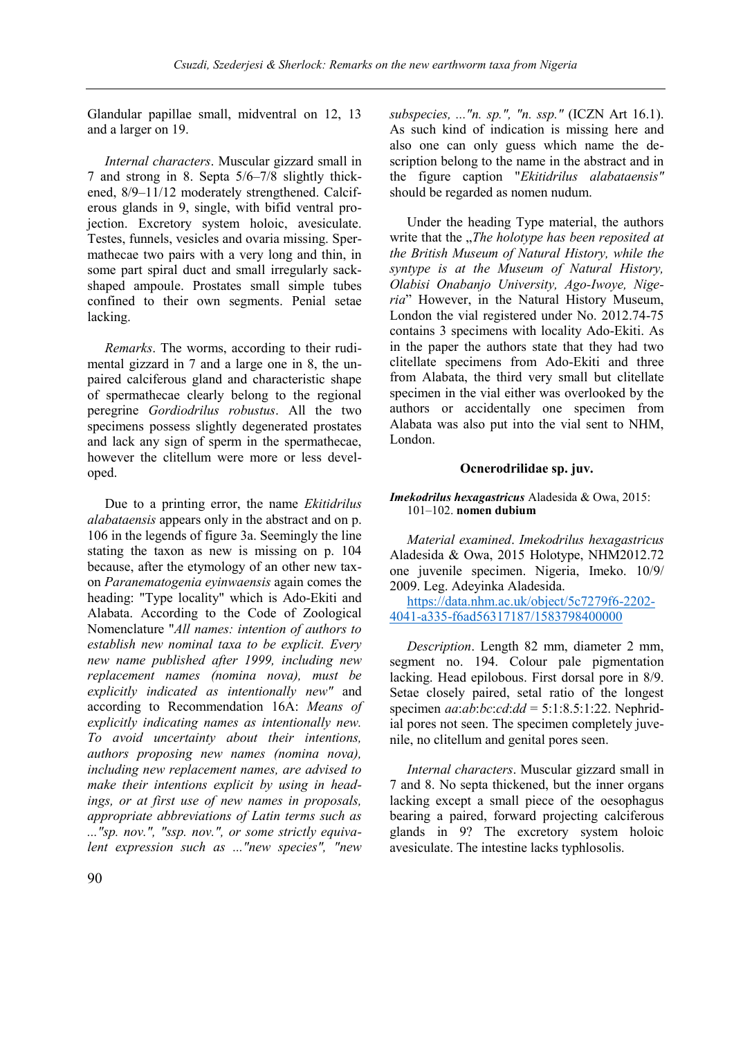Glandular papillae small, midventral on 12, 13 and a larger on 19.

*Internal characters*. Muscular gizzard small in 7 and strong in 8. Septa 5/6–7/8 slightly thickened, 8/9–11/12 moderately strengthened. Calciferous glands in 9, single, with bifid ventral projection. Excretory system holoic, avesiculate. Testes, funnels, vesicles and ovaria missing. Spermathecae two pairs with a very long and thin, in some part spiral duct and small irregularly sackshaped ampoule. Prostates small simple tubes confined to their own segments. Penial setae lacking.

*Remarks*. The worms, according to their rudimental gizzard in 7 and a large one in 8, the unpaired calciferous gland and characteristic shape of spermathecae clearly belong to the regional peregrine *Gordiodrilus robustus*. All the two specimens possess slightly degenerated prostates and lack any sign of sperm in the spermathecae, however the clitellum were more or less developed.

Due to a printing error, the name *Ekitidrilus alabataensis* appears only in the abstract and on p. 106 in the legends of figure 3a. Seemingly the line stating the taxon as new is missing on p. 104 because, after the etymology of an other new taxon *Paranematogenia eyinwaensis* again comes the heading: "Type locality" which is Ado-Ekiti and Alabata. According to the Code of Zoological Nomenclature "*All names: intention of authors to establish new nominal taxa to be explicit. Every new name published after 1999, including new replacement names (nomina nova), must be explicitly indicated as intentionally new"* and according to Recommendation 16A: *Means of explicitly indicating names as intentionally new. To avoid uncertainty about their intentions, authors proposing new names (nomina nova), including new replacement names, are advised to make their intentions explicit by using in headings, or at first use of new names in proposals, appropriate abbreviations of Latin terms such as ..."sp. nov.", "ssp. nov.", or some strictly equivalent expression such as ..."new species", "new* 

*subspecies, ..."n. sp.", "n. ssp."* (ICZN Art 16.1). As such kind of indication is missing here and also one can only guess which name the description belong to the name in the abstract and in the figure caption "*Ekitidrilus alabataensis"*  should be regarded as nomen nudum.

Under the heading Type material, the authors write that the *"The holotype has been reposited at the British Museum of Natural History, while the syntype is at the Museum of Natural History, Olabisi Onabanjo University, Ago-Iwoye, Nigeria*" However, in the Natural History Museum, London the vial registered under No. 2012.74-75 contains 3 specimens with locality Ado-Ekiti. As in the paper the authors state that they had two clitellate specimens from Ado-Ekiti and three from Alabata, the third very small but clitellate specimen in the vial either was overlooked by the authors or accidentally one specimen from Alabata was also put into the vial sent to NHM, London.

#### **Ocnerodrilidae sp. juv.**

#### *Imekodrilus hexagastricus* Aladesida & Owa, 2015: 101–102. **nomen dubium**

*Material examined*. *Imekodrilus hexagastricus*  Aladesida & Owa, 2015 Holotype, NHM2012.72 one juvenile specimen. Nigeria, Imeko. 10/9/ 2009. Leg. Adeyinka Aladesida.

[https://data.nhm.ac.uk/object/5c7279f6-2202-](https://data.nhm.ac.uk/object/5c7279f6-2202-4041-a335-f6ad56317187/1583798400000) [4041-a335-f6ad56317187/1583798400000](https://data.nhm.ac.uk/object/5c7279f6-2202-4041-a335-f6ad56317187/1583798400000)

*Description*. Length 82 mm, diameter 2 mm, segment no. 194. Colour pale pigmentation lacking. Head epilobous. First dorsal pore in 8/9. Setae closely paired, setal ratio of the longest specimen *aa*:*ab*:*bc*:*cd*:*dd* = 5:1:8.5:1:22. Nephridial pores not seen. The specimen completely juvenile, no clitellum and genital pores seen.

*Internal characters*. Muscular gizzard small in 7 and 8. No septa thickened, but the inner organs lacking except a small piece of the oesophagus bearing a paired, forward projecting calciferous glands in 9? The excretory system holoic avesiculate. The intestine lacks typhlosolis.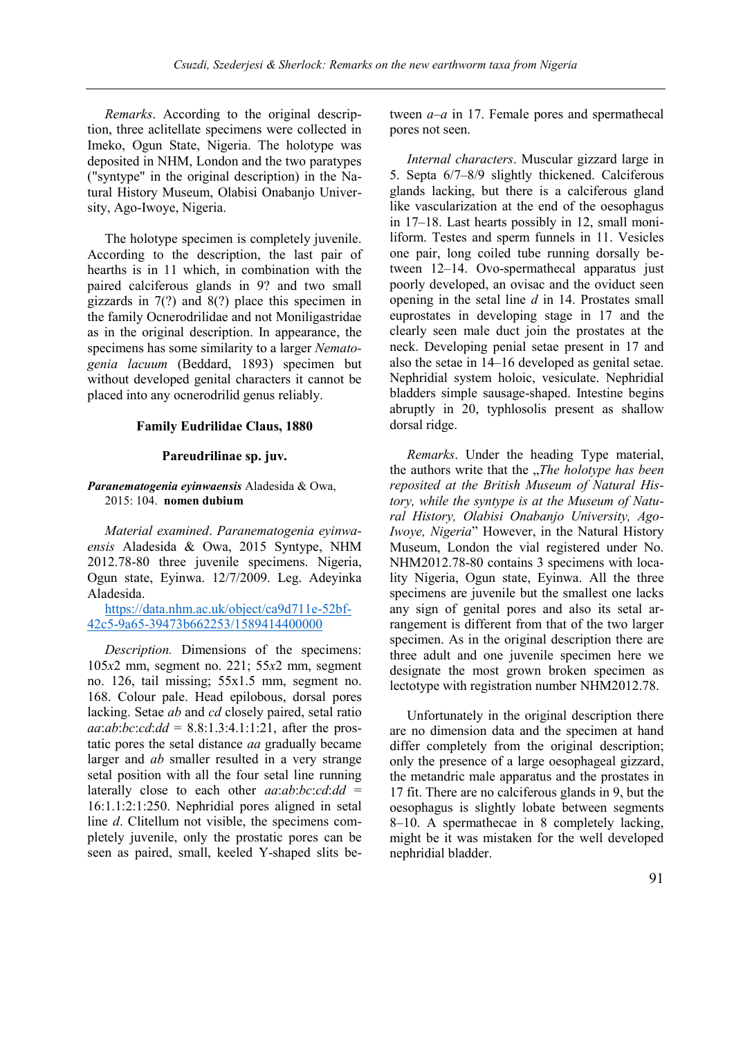*Remarks*. According to the original description, three aclitellate specimens were collected in Imeko, Ogun State, Nigeria. The holotype was deposited in NHM, London and the two paratypes ("syntype" in the original description) in the Natural History Museum, Olabisi Onabanjo University, Ago-Iwoye, Nigeria.

The holotype specimen is completely juvenile. According to the description, the last pair of hearths is in 11 which, in combination with the paired calciferous glands in 9? and two small gizzards in 7(?) and 8(?) place this specimen in the family Ocnerodrilidae and not Moniligastridae as in the original description. In appearance, the specimens has some similarity to a larger *Nematogenia lacuum* (Beddard, 1893) specimen but without developed genital characters it cannot be placed into any ocnerodrilid genus reliably.

#### **Family Eudrilidae Claus, 1880**

#### **Pareudrilinae sp. juv.**

#### *Paranematogenia eyinwaensis* Aladesida & Owa, 2015: 104. **nomen dubium**

*Material examined*. *Paranematogenia eyinwaensis* Aladesida & Owa, 2015 Syntype, NHM 2012.78-80 three juvenile specimens. Nigeria, Ogun state, Eyinwa. 12/7/2009. Leg. Adeyinka Aladesida.

[https://data.nhm.ac.uk/object/ca9d711e-52bf-](https://data.nhm.ac.uk/object/ca9d711e-52bf-42c5-9a65-39473b662253/1589414400000)[42c5-9a65-39473b662253/1589414400000](https://data.nhm.ac.uk/object/ca9d711e-52bf-42c5-9a65-39473b662253/1589414400000)

*Description.* Dimensions of the specimens: 105*x*2 mm, segment no. 221; 55*x*2 mm, segment no. 126, tail missing; 55x1.5 mm, segment no. 168. Colour pale. Head epilobous, dorsal pores lacking. Setae *ab* and *cd* closely paired, setal ratio  $aa:ab:bc:cd:dd = 8.8:1.3:4.1:1:21$ , after the prostatic pores the setal distance *aa* gradually became larger and *ab* smaller resulted in a very strange setal position with all the four setal line running laterally close to each other *aa*:*ab*:*bc*:*cd*:*dd* = 16:1.1:2:1:250. Nephridial pores aligned in setal line *d*. Clitellum not visible, the specimens completely juvenile, only the prostatic pores can be seen as paired, small, keeled Y-shaped slits between *a*–*a* in 17. Female pores and spermathecal pores not seen.

*Internal characters*. Muscular gizzard large in 5. Septa 6/7–8/9 slightly thickened. Calciferous glands lacking, but there is a calciferous gland like vascularization at the end of the oesophagus in 17–18. Last hearts possibly in 12, small moniliform. Testes and sperm funnels in 11. Vesicles one pair, long coiled tube running dorsally between 12–14. Ovo-spermathecal apparatus just poorly developed, an ovisac and the oviduct seen opening in the setal line *d* in 14. Prostates small euprostates in developing stage in 17 and the clearly seen male duct join the prostates at the neck. Developing penial setae present in 17 and also the setae in 14–16 developed as genital setae. Nephridial system holoic, vesiculate. Nephridial bladders simple sausage-shaped. Intestine begins abruptly in 20, typhlosolis present as shallow dorsal ridge.

*Remarks*. Under the heading Type material, the authors write that the *..The holotype has been reposited at the British Museum of Natural History, while the syntype is at the Museum of Natural History, Olabisi Onabanjo University, Ago-Iwoye, Nigeria*" However, in the Natural History Museum, London the vial registered under No. NHM2012.78-80 contains 3 specimens with locality Nigeria, Ogun state, Eyinwa. All the three specimens are juvenile but the smallest one lacks any sign of genital pores and also its setal arrangement is different from that of the two larger specimen. As in the original description there are three adult and one juvenile specimen here we designate the most grown broken specimen as lectotype with registration number NHM2012.78.

Unfortunately in the original description there are no dimension data and the specimen at hand differ completely from the original description; only the presence of a large oesophageal gizzard, the metandric male apparatus and the prostates in 17 fit. There are no calciferous glands in 9, but the oesophagus is slightly lobate between segments 8–10. A spermathecae in 8 completely lacking, might be it was mistaken for the well developed nephridial bladder.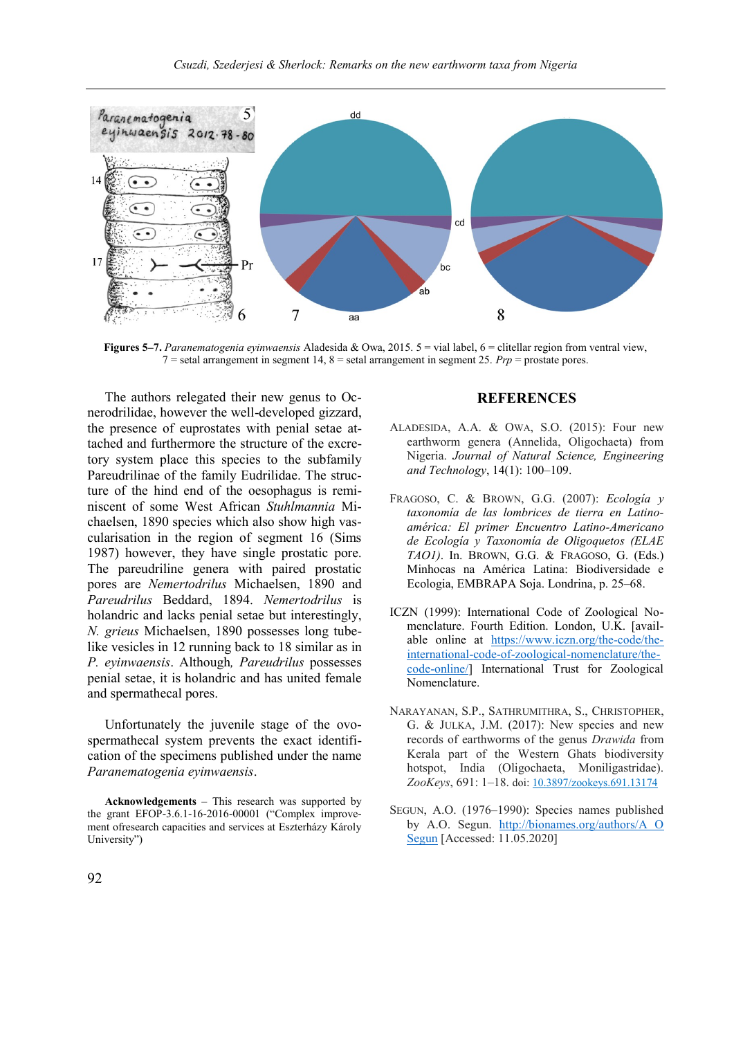

**Figures 5–7.** *Paranematogenia eyinwaensis* Aladesida & Owa, 2015. 5 = vial label, 6 = clitellar region from ventral view, 7 = setal arrangement in segment 14, 8 = setal arrangement in segment 25. *Prp* = prostate pores.

The authors relegated their new genus to Ocnerodrilidae, however the well-developed gizzard, the presence of euprostates with penial setae attached and furthermore the structure of the excretory system place this species to the subfamily Pareudrilinae of the family Eudrilidae. The structure of the hind end of the oesophagus is reminiscent of some West African *Stuhlmannia* Michaelsen, 1890 species which also show high vascularisation in the region of segment 16 (Sims 1987) however, they have single prostatic pore. The pareudriline genera with paired prostatic pores are *Nemertodrilus* Michaelsen, 1890 and *Pareudrilus* Beddard, 1894. *Nemertodrilus* is holandric and lacks penial setae but interestingly, *N. grieus* Michaelsen, 1890 possesses long tubelike vesicles in 12 running back to 18 similar as in *P. eyinwaensis*. Although*, Pareudrilus* possesses penial setae, it is holandric and has united female and spermathecal pores.

Unfortunately the juvenile stage of the ovospermathecal system prevents the exact identification of the specimens published under the name *Paranematogenia eyinwaensis*.

**Acknowledgements** – This research was supported by the grant EFOP-3.6.1-16-2016-00001 ("Complex improvement ofresearch capacities and services at Eszterházy Károly University")

## **REFERENCES**

- ALADESIDA, A.A. & OWA, S.O. (2015): Four new earthworm genera (Annelida, Oligochaeta) from Nigeria. *Journal of Natural Science, Engineering and Technology*, 14(1): 100–109.
- FRAGOSO, C. & BROWN, G.G. (2007): *Ecología y taxonomía de las lombrices de tierra en Latinoamérica: El primer Encuentro Latino-Americano de Ecología y Taxonomía de Oligoquetos (ELAE TAO1)*. In. BROWN, G.G. & FRAGOSO, G. (Eds.) Minhocas na América Latina: Biodiversidade e Ecologia, EMBRAPA Soja. Londrina, p. 25–68.
- ICZN (1999): International Code of Zoological Nomenclature. Fourth Edition. London, U.K. [available online at [https://www.iczn.org/the-code/the](https://www.iczn.org/the-code/the-international-code-of-zoological-nomenclature/the-code-online/)[international-code-of-zoological-nomenclature/the](https://www.iczn.org/the-code/the-international-code-of-zoological-nomenclature/the-code-online/)[code-online/\]](https://www.iczn.org/the-code/the-international-code-of-zoological-nomenclature/the-code-online/) International Trust for Zoological Nomenclature.
- NARAYANAN, S.P., SATHRUMITHRA, S., CHRISTOPHER, G. & JULKA, J.M. (2017): New species and new records of earthworms of the genus *Drawida* from Kerala part of the Western Ghats biodiversity hotspot, India (Oligochaeta, Moniligastridae). *ZooKeys*, 691: 1–18. doi: [10.3897/zookeys.691.13174](https://doi.org/10.3897/zookeys.691.13174)
- SEGUN, A.O. (1976–1990): Species names published by A.O. Segun. [http://bionames.org/authors/A O](http://bionames.org/authors/A%20O%20Segun)  [Segun](http://bionames.org/authors/A%20O%20Segun) [Accessed: 11.05.2020]